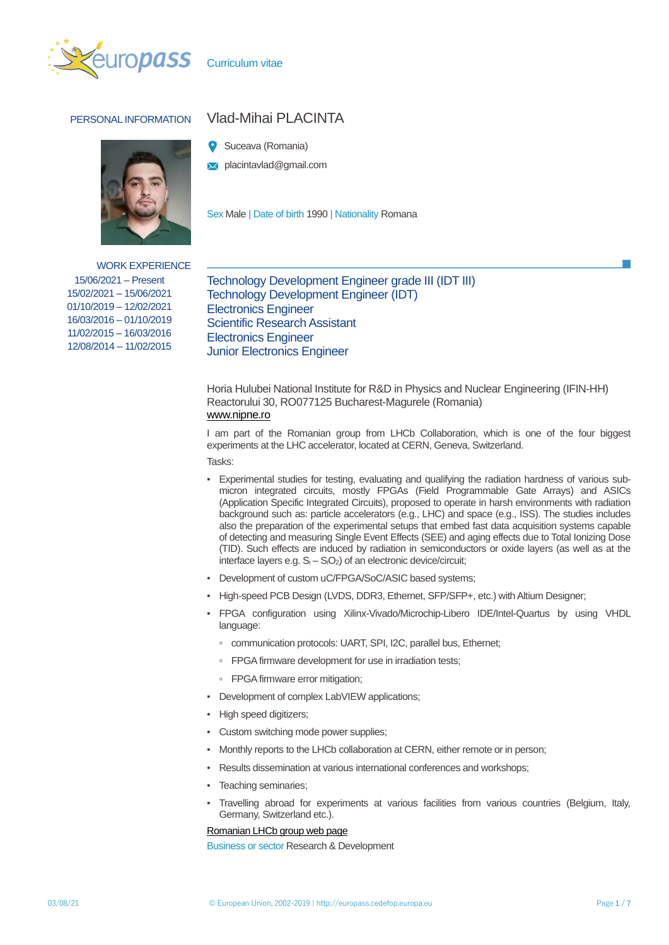



WORK EXPERIENCE 15/06/2021 – Present 15/02/2021 – 15/06/2021 01/10/2019 – 12/02/2021 16/03/2016 – 01/10/2019

11/02/2015 – 16/03/2016 12/08/2014 – 11/02/2015

# PERSONAL INFORMATION Vlad-Mihai PLACINTA

- Suceava (Romania)
- **X** placintavlad@gmail.com

Sex Male | Date of birth 1990 | Nationality Romana

Technology Development Engineer grade III (IDT III) Technology Development Engineer (IDT) Electronics Engineer Scientific Research Assistant Electronics Engineer Junior Electronics Engineer

Horia Hulubei National Institute for R&D in Physics and Nuclear Engineering (IFIN-HH) Reactorului 30, RO077125 Bucharest-Magurele (Romania) [www.nipne.ro](http://www.nipne.ro/)

I am part of the Romanian group from LHCb Collaboration, which is one of the four biggest experiments at the LHC accelerator, located at CERN, Geneva, Switzerland.

Tasks:

- Experimental studies for testing, evaluating and qualifying the radiation hardness of various submicron integrated circuits, mostly FPGAs (Field Programmable Gate Arrays) and ASICs (Application Specific Integrated Circuits), proposed to operate in harsh environments with radiation background such as: particle accelerators (e.g., LHC) and space (e.g., ISS). The studies includes also the preparation of the experimental setups that embed fast data acquisition systems capable of detecting and measuring Single Event Effects (SEE) and aging effects due to Total Ionizing Dose (TID). Such effects are induced by radiation in semiconductors or oxide layers (as well as at the interface layers e.g. S<sub>i</sub> – S<sub>i</sub>O<sub>2</sub>) of an electronic device/circuit;
- **Development of custom uC/FPGA/SoC/ASIC based systems;**
- High-speed PCB Design (LVDS, DDR3, Ethernet, SFP/SFP+, etc.) with Altium Designer;
- FPGA configuration using Xilinx-Vivado/Microchip-Libero IDE/Intel-Quartus by using VHDL language:
	- communication protocols: UART, SPI, I2C, parallel bus, Ethernet;
	- FPGA firmware development for use in irradiation tests;
	- FPGA firmware error mitigation;
- Development of complex LabVIEW applications;
- High speed digitizers;
- Custom switching mode power supplies;
- Monthly reports to the LHCb collaboration at CERN, either remote or in person:
- Results dissemination at various international conferences and workshops;
- Teaching seminaries;
- Travelling abroad for experiments at various facilities from various countries (Belgium, Italy, Germany, Switzerland etc.).

[Romanian LHCb group web page](http://www.nipne.ro/dpp/Collab/LHCb/index.html)

Business or sector Research & Development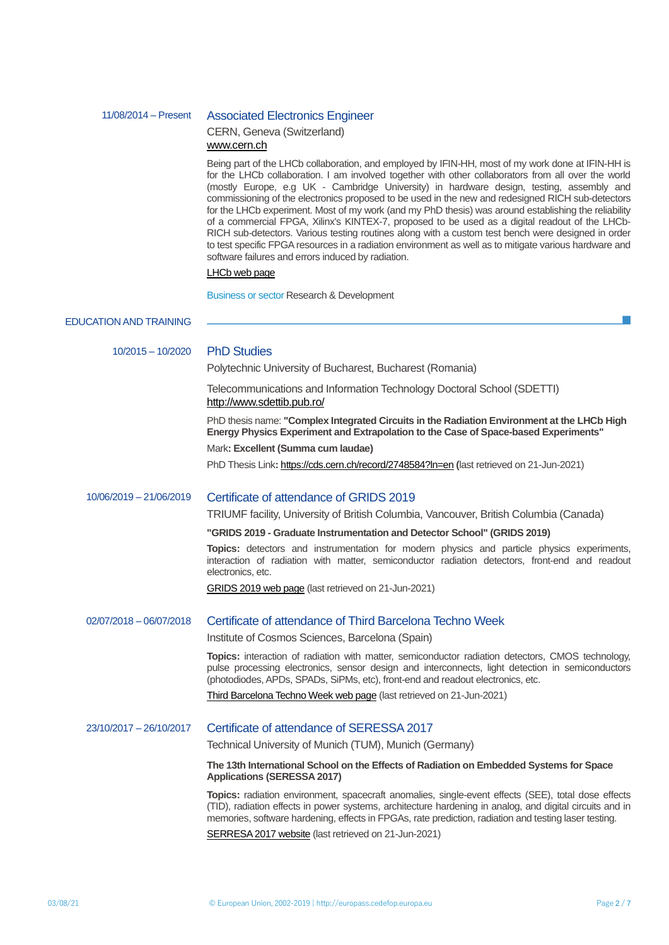# 11/08/2014 – Present Associated Electronics Engineer

# CERN, Geneva (Switzerland) [www.cern.ch](http://www.cern.ch/)

Being part of the LHCb collaboration, and employed by IFIN-HH, most of my work done at IFIN-HH is for the LHCb collaboration. I am involved together with other collaborators from all over the world (mostly Europe, e.g UK - Cambridge University) in hardware design, testing, assembly and commissioning of the electronics proposed to be used in the new and redesigned RICH sub-detectors for the LHCb experiment. Most of my work (and my PhD thesis) was around establishing the reliability of a commercial FPGA, Xilinx's KINTEX-7, proposed to be used as a digital readout of the LHCb-RICH sub-detectors. Various testing routines along with a custom test bench were designed in order to test specific FPGA resources in a radiation environment as well as to mitigate various hardware and software failures and errors induced by radiation.

## [LHCb web page](http://lhcb.web.cern.ch/lhcb/)

Business or sector Research & Development

# EDUCATION AND TRAINING

| $10/2015 - 10/2020$     | <b>PhD Studies</b><br>Polytechnic University of Bucharest, Bucharest (Romania)                                                                                                                                                                                                                                           |  |
|-------------------------|--------------------------------------------------------------------------------------------------------------------------------------------------------------------------------------------------------------------------------------------------------------------------------------------------------------------------|--|
|                         | Telecommunications and Information Technology Doctoral School (SDETTI)<br>http://www.sdettib.pub.ro/                                                                                                                                                                                                                     |  |
|                         | PhD thesis name: "Complex Integrated Circuits in the Radiation Environment at the LHCb High<br>Energy Physics Experiment and Extrapolation to the Case of Space-based Experiments"                                                                                                                                       |  |
|                         | Mark: Excellent (Summa cum laudae)                                                                                                                                                                                                                                                                                       |  |
|                         | PhD Thesis Link: https://cds.cern.ch/record/2748584?ln=en (last retrieved on 21-Jun-2021)                                                                                                                                                                                                                                |  |
| 10/06/2019 - 21/06/2019 | Certificate of attendance of GRIDS 2019                                                                                                                                                                                                                                                                                  |  |
|                         | TRIUMF facility, University of British Columbia, Vancouver, British Columbia (Canada)                                                                                                                                                                                                                                    |  |
|                         | "GRIDS 2019 - Graduate Instrumentation and Detector School" (GRIDS 2019)                                                                                                                                                                                                                                                 |  |
|                         | Topics: detectors and instrumentation for modern physics and particle physics experiments,<br>interaction of radiation with matter, semiconductor radiation detectors, front-end and readout<br>electronics, etc.                                                                                                        |  |
|                         | GRIDS 2019 web page (last retrieved on 21-Jun-2021)                                                                                                                                                                                                                                                                      |  |
| 02/07/2018 - 06/07/2018 | Certificate of attendance of Third Barcelona Techno Week                                                                                                                                                                                                                                                                 |  |
|                         | Institute of Cosmos Sciences, Barcelona (Spain)                                                                                                                                                                                                                                                                          |  |
|                         | Topics: interaction of radiation with matter, semiconductor radiation detectors, CMOS technology,<br>pulse processing electronics, sensor design and interconnects, light detection in semiconductors<br>(photodiodes, APDs, SPADs, SiPMs, etc), front-end and readout electronics, etc.                                 |  |
|                         | Third Barcelona Techno Week web page (last retrieved on 21-Jun-2021)                                                                                                                                                                                                                                                     |  |
| 23/10/2017 - 26/10/2017 | Certificate of attendance of SERESSA 2017                                                                                                                                                                                                                                                                                |  |
|                         | Technical University of Munich (TUM), Munich (Germany)                                                                                                                                                                                                                                                                   |  |
|                         | The 13th International School on the Effects of Radiation on Embedded Systems for Space<br><b>Applications (SERESSA 2017)</b>                                                                                                                                                                                            |  |
|                         | Topics: radiation environment, spacecraft anomalies, single-event effects (SEE), total dose effects<br>(TID), radiation effects in power systems, architecture hardening in analog, and digital circuits and in<br>memories, software hardening, effects in FPGAs, rate prediction, radiation and testing laser testing. |  |
|                         | SERRESA 2017 website (last retrieved on 21-Jun-2021)                                                                                                                                                                                                                                                                     |  |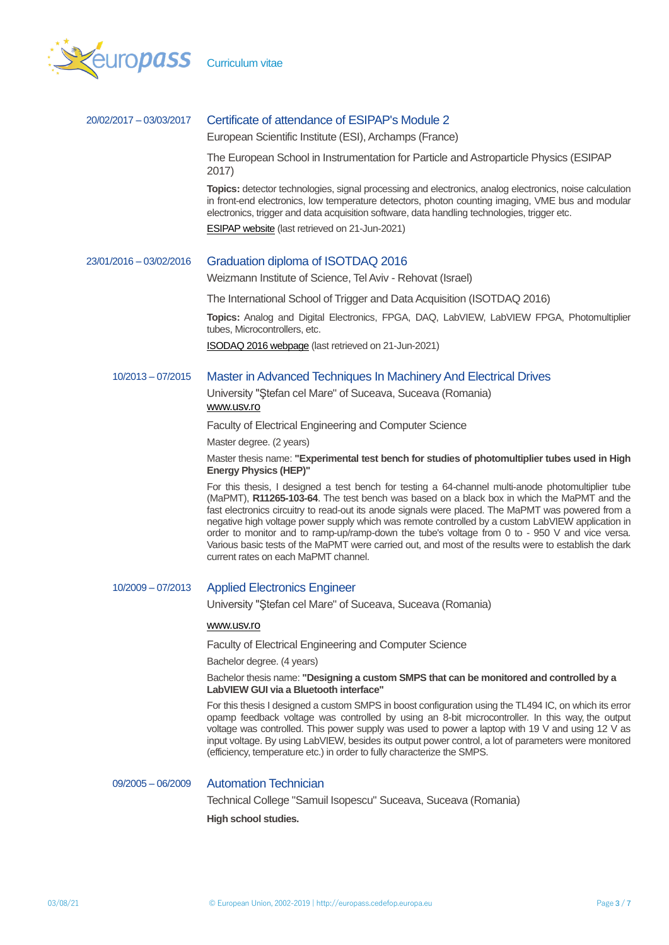

# 20/02/2017 – 03/03/2017 Certificate of attendance of ESIPAP's Module 2

European Scientific Institute (ESI), Archamps (France)

The European School in Instrumentation for Particle and Astroparticle Physics (ESIPAP 2017)

**Topics:** detector technologies, signal processing and electronics, analog electronics, noise calculation in front-end electronics, low temperature detectors, photon counting imaging, VME bus and modular electronics, trigger and data acquisition software, data handling technologies, trigger etc.

[ESIPAP website](http://www.esi-archamps.eu/Thematic-Schools/Discover-ESIPAP) (last retrieved on 21-Jun-2021)

## 23/01/2016 – 03/02/2016 Graduation diploma of ISOTDAQ 2016

Weizmann Institute of Science, Tel Aviv - Rehovat (Israel)

The International School of Trigger and Data Acquisition (ISOTDAQ 2016)

**Topics:** Analog and Digital Electronics, FPGA, DAQ, LabVIEW, LabVIEW FPGA, Photomultiplier tubes, Microcontrollers, etc.

[ISODAQ 2016 webpage](https://indico.cern.ch/event/432879/) (last retrieved on 21-Jun-2021)

## 10/2013 – 07/2015 Master in Advanced Techniques In Machinery And Electrical Drives

University "Ştefan cel Mare" of Suceava, Suceava (Romania) [www.usv.ro](http://www.usv.ro/)

Faculty of Electrical Engineering and Computer Science

Master degree. (2 years)

Master thesis name: **"Experimental test bench for studies of photomultiplier tubes used in High Energy Physics (HEP)"**

For this thesis, I designed a test bench for testing a 64-channel multi-anode photomultiplier tube (MaPMT), **R11265-103-64**. The test bench was based on a black box in which the MaPMT and the fast electronics circuitry to read-out its anode signals were placed. The MaPMT was powered from a negative high voltage power supply which was remote controlled by a custom LabVIEW application in order to monitor and to ramp-up/ramp-down the tube's voltage from 0 to - 950 V and vice versa. Various basic tests of the MaPMT were carried out, and most of the results were to establish the dark current rates on each MaPMT channel.

# 10/2009 – 07/2013 Applied Electronics Engineer

University "Ştefan cel Mare" of Suceava, Suceava (Romania)

## [www.usv.ro](http://www.usv.ro/)

Faculty of Electrical Engineering and Computer Science

Bachelor degree. (4 years)

Bachelor thesis name: **"Designing a custom SMPS that can be monitored and controlled by a LabVIEW GUI via a Bluetooth interface"**

For this thesis I designed a custom SMPS in boost configuration using the TL494 IC, on which its error opamp feedback voltage was controlled by using an 8-bit microcontroller. In this way, the output voltage was controlled. This power supply was used to power a laptop with 19 V and using 12 V as input voltage. By using LabVIEW, besides its output power control, a lot of parameters were monitored (efficiency, temperature etc.) in order to fully characterize the SMPS.

## 09/2005 – 06/2009 Automation Technician

Technical College "Samuil Isopescu" Suceava, Suceava (Romania) **High school studies.**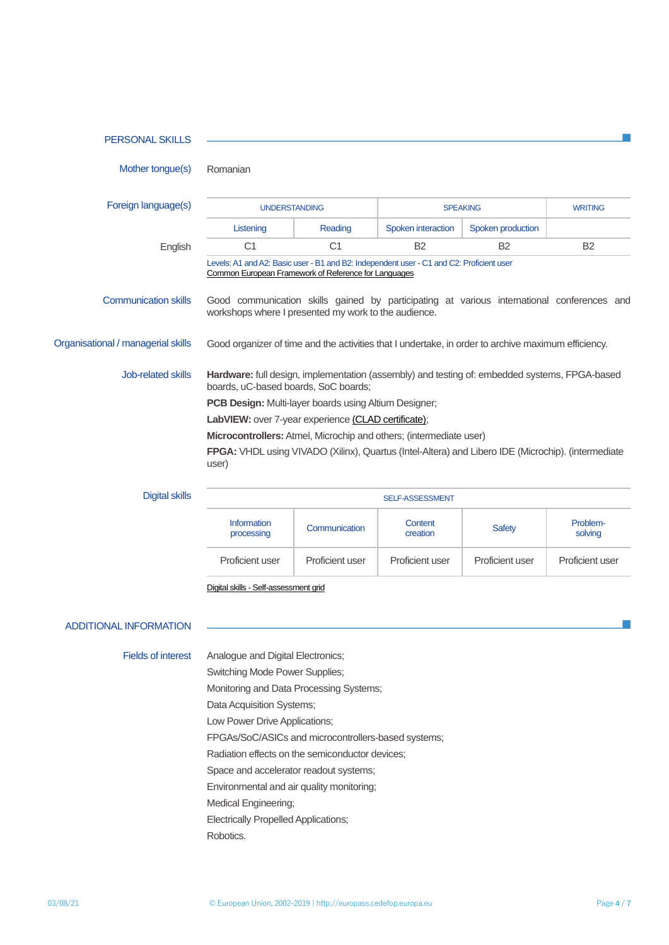| <b>PERSONAL SKILLS</b>             |                                                                                                                                       |                                                                                                        |                                                                                          |                                                                                                     |                     |
|------------------------------------|---------------------------------------------------------------------------------------------------------------------------------------|--------------------------------------------------------------------------------------------------------|------------------------------------------------------------------------------------------|-----------------------------------------------------------------------------------------------------|---------------------|
| Mother tongue(s)<br>Romanian       |                                                                                                                                       |                                                                                                        |                                                                                          |                                                                                                     |                     |
| Foreign language(s)                | <b>UNDERSTANDING</b>                                                                                                                  |                                                                                                        | <b>SPEAKING</b>                                                                          |                                                                                                     | <b>WRITING</b>      |
|                                    | Listening                                                                                                                             | Reading                                                                                                | Spoken interaction                                                                       | Spoken production                                                                                   |                     |
| English                            | C <sub>1</sub>                                                                                                                        | C <sub>1</sub>                                                                                         | <b>B2</b>                                                                                | <b>B2</b>                                                                                           | <b>B2</b>           |
|                                    |                                                                                                                                       | Common European Framework of Reference for Languages                                                   | Levels: A1 and A2: Basic user - B1 and B2: Independent user - C1 and C2: Proficient user |                                                                                                     |                     |
| <b>Communication skills</b>        |                                                                                                                                       | workshops where I presented my work to the audience.                                                   |                                                                                          | Good communication skills gained by participating at various international conferences and          |                     |
| Organisational / managerial skills |                                                                                                                                       |                                                                                                        |                                                                                          | Good organizer of time and the activities that I undertake, in order to archive maximum efficiency. |                     |
| Job-related skills                 | Hardware: full design, implementation (assembly) and testing of: embedded systems, FPGA-based<br>boards, uC-based boards, SoC boards; |                                                                                                        |                                                                                          |                                                                                                     |                     |
|                                    |                                                                                                                                       | PCB Design: Multi-layer boards using Altium Designer;                                                  |                                                                                          |                                                                                                     |                     |
|                                    |                                                                                                                                       | LabVIEW: over 7-year experience (CLAD certificate);                                                    |                                                                                          |                                                                                                     |                     |
|                                    |                                                                                                                                       |                                                                                                        |                                                                                          |                                                                                                     |                     |
| user)                              |                                                                                                                                       |                                                                                                        | Microcontrollers: Atmel, Microchip and others; (intermediate user)                       | FPGA: VHDL using VIVADO (Xilinx), Quartus (Intel-Altera) and Libero IDE (Microchip). (intermediate  |                     |
| <b>Digital skills</b>              |                                                                                                                                       |                                                                                                        | SELF-ASSESSMENT                                                                          |                                                                                                     |                     |
|                                    | <b>Information</b><br>processing                                                                                                      | Communication                                                                                          | Content<br>creation                                                                      | <b>Safety</b>                                                                                       | Problem-<br>solving |
|                                    | Proficient user                                                                                                                       | Proficient user                                                                                        | Proficient user                                                                          | Proficient user                                                                                     | Proficient user     |
|                                    | Digital skills - Self-assessment grid                                                                                                 |                                                                                                        |                                                                                          |                                                                                                     |                     |
| <b>ADDITIONAL INFORMATION</b>      |                                                                                                                                       |                                                                                                        |                                                                                          |                                                                                                     |                     |
| <b>Fields of interest</b>          | Analogue and Digital Electronics;                                                                                                     |                                                                                                        |                                                                                          |                                                                                                     |                     |
|                                    | Switching Mode Power Supplies;                                                                                                        |                                                                                                        |                                                                                          |                                                                                                     |                     |
|                                    |                                                                                                                                       | Monitoring and Data Processing Systems;                                                                |                                                                                          |                                                                                                     |                     |
|                                    | Data Acquisition Systems;                                                                                                             |                                                                                                        |                                                                                          |                                                                                                     |                     |
|                                    | Low Power Drive Applications;                                                                                                         |                                                                                                        |                                                                                          |                                                                                                     |                     |
|                                    |                                                                                                                                       | FPGAs/SoC/ASICs and microcontrollers-based systems;<br>Radiation effects on the semiconductor devices; |                                                                                          |                                                                                                     |                     |

Environmental and air quality monitoring;

Medical Engineering;

Electrically Propelled Applications;

Robotics.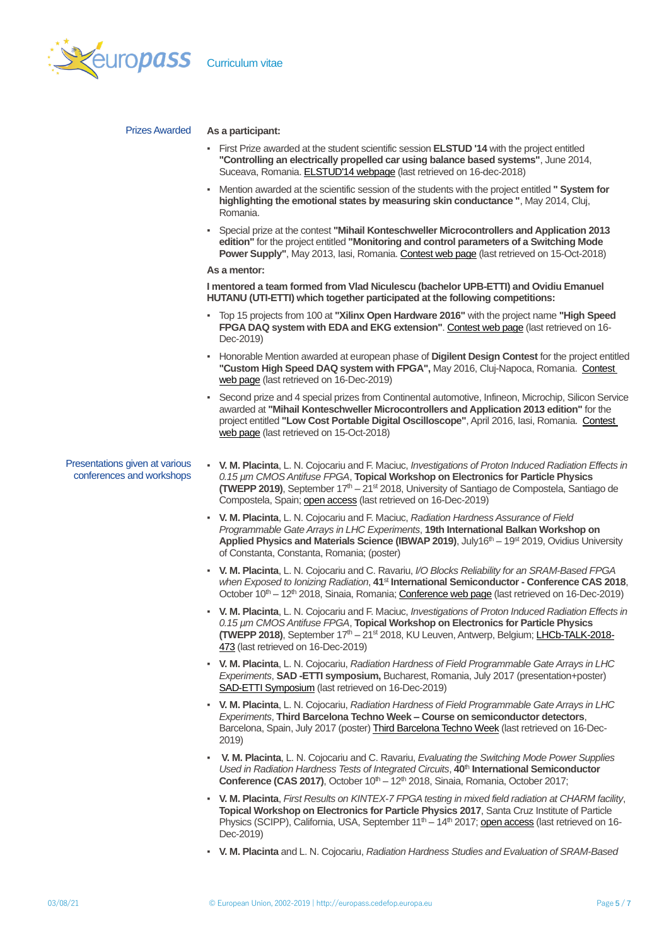

## PrizesAwarded **As a participant:**

- First Prize awarded at the student scientific session **ELSTUD '14** with the project entitled **"Controlling an electrically propelled car using balance based systems"**, June 2014, Suceava, Romania. [ELSTUD'14 webpage](https://elstud.webnode.ro/editii-elstud/a2014/) (last retrieved on 16-dec-2018)
- Mention awarded at the scientific session of the students with the project entitled **" System for highlighting the emotional states by measuring skin conductance "**, May 2014, Cluj, Romania.
- Special prize at the contest **"Mihail Konteschweller Microcontrollers and Application 2013 edition"** for the project entitled **"Monitoring and control parameters of a Switching Mode Power Supply"**, May 2013, Iasi, Romania. [Contest web page](http://www.etti.tuiasi.ro/cercetare/cerfs/index.php/concmicro2013) (last retrieved on 15-Oct-2018)

### **As a mentor:**

**I mentored a team formed from Vlad Niculescu (bachelor UPB-ETTI) and Ovidiu Emanuel HUTANU (UTI-ETTI) which together participated at the following competitions:** 

- Top 15 projects from 100 at **"Xilinx Open Hardware 2016"** with the project name **"High Speed FPGA DAQ system with EDA and EKG extension"**[. Contest web page](http://www.openhw.eu/2016-finalists.html) (last retrieved on 16- Dec-2019)
- Honorable Mention awarded at european phase of **Digilent Design Contest** for the project entitled **"Custom High Speed DAQ system with FPGA",** May 2016, Cluj-Napoca, Romania. [Contest](https://digilentdesigncontest.com/2016-winners/)  [web page](https://digilentdesigncontest.com/2016-winners/) (last retrieved on 16-Dec-2019)
- Second prize and 4 special prizes from Continental automotive, Infineon, Microchip, Silicon Service awarded at **"Mihail Konteschweller Microcontrollers and Application 2013 edition"** for the project entitled **"Low Cost Portable Digital Oscilloscope"**, April 2016, Iasi, Romania. [Contest](http://www.etti.tuiasi.ro/cercetare/cerfs/index.php/concmicro2016)  [web page](http://www.etti.tuiasi.ro/cercetare/cerfs/index.php/concmicro2016) (last retrieved on 15-Oct-2018)

## Presentations given at various conferences and workshops

- **V. M. Placinta**, L. N. Cojocariu and F. Maciuc, *Investigations of Proton Induced Radiation Effects in 0.15 µm CMOS Antifuse FPGA*, **Topical Workshop on Electronics for Particle Physics (TWEPP 2019)**, September 17<sup>th</sup> – 21<sup>st</sup> 2018, University of Santiago de Compostela, Santiago de Compostela, Spain; [open access](http://cds.cern.ch/record/2689070?ln=it) (last retrieved on 16-Dec-2019)
- **V. M. Placinta**, L. N. Cojocariu and F. Maciuc, *Radiation Hardness Assurance of Field Programmable Gate Arrays in LHC Experiments*, **19th International Balkan Workshop on**  Applied Physics and Materials Science (IBWAP 2019), July16<sup>th</sup> – 19<sup>st</sup> 2019, Ovidius University of Constanta, Constanta, Romania; (poster)
- **V. M. Placinta**, L. N. Cojocariu and C. Ravariu, *I/O Blocks Reliability for an SRAM-Based FPGA when Exposed to Ionizing Radiation*, **41**st **International Semiconductor - Conference CAS 2018**, October 10<sup>th</sup> – 12<sup>th</sup> 2018, Sinaia, Romania; [Conference web page](http://www.imt.ro/cas/) (last retrieved on 16-Dec-2019)
- **V. M. Placinta**, L. N. Cojocariu and F. Maciuc, *Investigations of Proton Induced Radiation Effects in 0.15 µm CMOS Antifuse FPGA*, **Topical Workshop on Electronics for Particle Physics (TWEPP 2018)**, September 17th – 21st 2018, KU Leuven, Antwerp, Belgium; [LHCb-TALK-2018-](http://cds.cern.ch/record/2643453) [473](http://cds.cern.ch/record/2643453) (last retrieved on 16-Dec-2019)
- **V. M. Placinta**, L. N. Cojocariu, *Radiation Hardness of Field Programmable Gate Arrays in LHC Experiments*, **SAD -ETTI symposium,** Bucharest, Romania, July 2017 (presentation+poster) [SAD-ETTI Symposium](http://www.sdettib.pub.ro/admin/images/fisier/2018-07-18-5963561478-SAD-ETTI_2018_site.pdf) (last retrieved on 16-Dec-2019)
- **V. M. Placinta**, L. N. Cojocariu, *Radiation Hardness of Field Programmable Gate Arrays in LHC Experiments*, **Third Barcelona Techno Week – Course on semiconductor detectors**, Barcelona, Spain, July 2017 (poster) [Third Barcelona Techno Week](http://icc.ub.edu/congress/TechnoWeek2018/) (last retrieved on 16-Dec-2019)
- **V. M. Placinta**, L. N. Cojocariu and C. Ravariu, *Evaluating the Switching Mode Power Supplies Used in Radiation Hardness Tests of Integrated Circuits*, **40**th **International Semiconductor Conference (CAS 2017)**, October  $10<sup>th</sup> - 12<sup>th</sup>$  2018, Sinaia, Romania, October 2017;
- **V. M. Placinta**, *First Results on KINTEX-7 FPGA testing in mixed field radiation at CHARM facility*, **Topical Workshop on Electronics for Particle Physics 2017**, Santa Cruz Institute of Particle Physics (SCIPP), California, USA, September  $11<sup>th</sup> - 14<sup>th</sup> 2017$ ; [open access](https://indico.cern.ch/event/608587/contributions/2712677/attachments/1523057/2380225/First_results_on_KINTEX-7_FPGA_testing_in_mixed_field_radiation_at_CHARM_facility_Vlad_Placinta.pdf) (last retrieved on 16-Dec-2019)
- **V. M. Placinta** and L. N. Cojocariu, *Radiation Hardness Studies and Evaluation of SRAM-Based*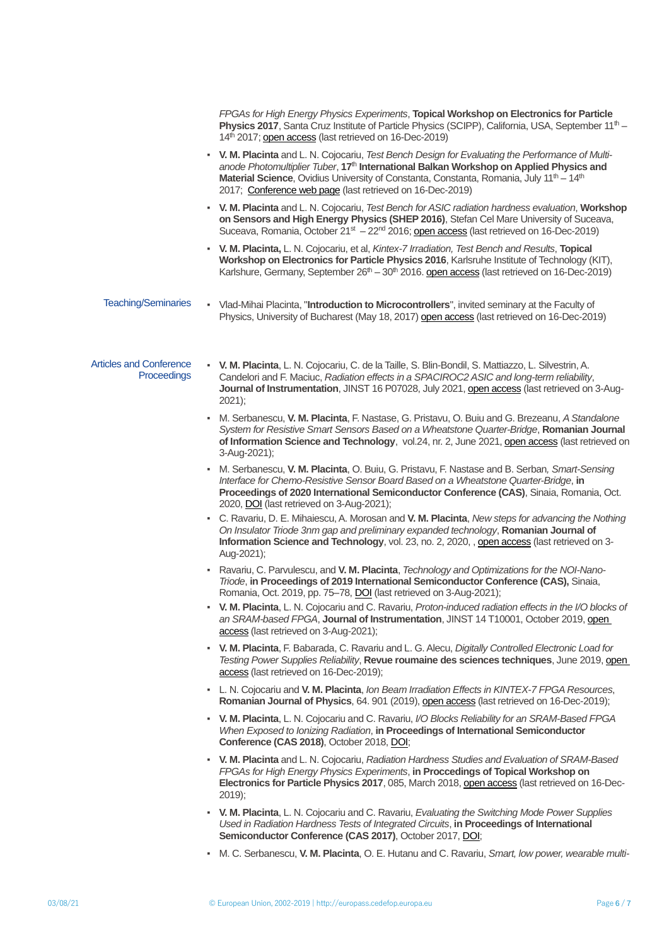|                                               | FPGAs for High Energy Physics Experiments, Topical Workshop on Electronics for Particle<br>Physics 2017, Santa Cruz Institute of Particle Physics (SCIPP), California, USA, September 11 <sup>th</sup> -<br>14th 2017; open access (last retrieved on 16-Dec-2019)                                                                                                                     |
|-----------------------------------------------|----------------------------------------------------------------------------------------------------------------------------------------------------------------------------------------------------------------------------------------------------------------------------------------------------------------------------------------------------------------------------------------|
|                                               | . V. M. Placinta and L. N. Cojocariu, Test Bench Design for Evaluating the Performance of Multi-<br>anode Photomultiplier Tuber, 17 <sup>th</sup> International Balkan Workshop on Applied Physics and<br>Material Science, Ovidius University of Constanta, Constanta, Romania, July 11 <sup>th</sup> - 14 <sup>th</sup><br>2017: Conference web page (last retrieved on 16-Dec-2019) |
|                                               | . V. M. Placinta and L. N. Cojocariu, Test Bench for ASIC radiation hardness evaluation, Workshop<br>on Sensors and High Energy Physics (SHEP 2016), Stefan Cel Mare University of Suceava,<br>Suceava, Romania, October $21st - 22nd 2016$ ; open access (last retrieved on 16-Dec-2019)                                                                                              |
|                                               | . V. M. Placinta, L. N. Cojocariu, et al, Kintex-7 Irradiation, Test Bench and Results, Topical<br>Workshop on Electronics for Particle Physics 2016, Karlsruhe Institute of Technology (KIT),<br>Karlshure, Germany, September 26 <sup>th</sup> - 30 <sup>th</sup> 2016. open access (last retrieved on 16-Dec-2019)                                                                  |
| <b>Teaching/Seminaries</b>                    | - Vlad-Mihai Placinta, "Introduction to Microcontrollers", invited seminary at the Faculty of<br>Physics, University of Bucharest (May 18, 2017) open access (last retrieved on 16-Dec-2019)                                                                                                                                                                                           |
| <b>Articles and Conference</b><br>Proceedings | . V. M. Placinta, L. N. Cojocariu, C. de la Taille, S. Blin-Bondil, S. Mattiazzo, L. Silvestrin, A.<br>Candelori and F. Maciuc, Radiation effects in a SPACIROC2 ASIC and long-term reliability,<br>Journal of Instrumentation, JINST 16 P07028, July 2021, open access (last retrieved on 3-Aug-<br>$2021$ ;                                                                          |
|                                               | M. Serbanescu, V. M. Placinta, F. Nastase, G. Pristavu, O. Buiu and G. Brezeanu, A Standalone<br>System for Resistive Smart Sensors Based on a Wheatstone Quarter-Bridge, Romanian Journal<br>of Information Science and Technology, vol.24, nr. 2, June 2021, open access (last retrieved on<br>3-Aug-2021);                                                                          |
|                                               | M. Serbanescu, V. M. Placinta, O. Buiu, G. Pristavu, F. Nastase and B. Serban, Smart-Sensing<br>Interface for Chemo-Resistive Sensor Board Based on a Wheatstone Quarter-Bridge, in<br>Proceedings of 2020 International Semiconductor Conference (CAS), Sinaia, Romania, Oct.<br>2020, DOI (last retrieved on 3-Aug-2021);                                                            |
|                                               | - C. Ravariu, D. E. Mihaiescu, A. Morosan and V. M. Placinta, New steps for advancing the Nothing<br>On Insulator Triode 3nm gap and preliminary expanded technology, Romanian Journal of<br>Information Science and Technology, vol. 23, no. 2, 2020, , open access (last retrieved on 3-<br>Aug-2021);                                                                               |
|                                               | - Ravariu, C. Parvulescu, and V. M. Placinta, Technology and Optimizations for the NOI-Nano-<br>Triode, in Proceedings of 2019 International Semiconductor Conference (CAS), Sinaia,<br>Romania, Oct. 2019, pp. 75-78, DOI (last retrieved on 3-Aug-2021);                                                                                                                             |
|                                               | - V. M. Placinta, L. N. Cojocariu and C. Ravariu, Proton-induced radiation effects in the I/O blocks of<br>an SRAM-based FPGA, Journal of Instrumentation, JINST 14 T10001, October 2019, open<br>access (last retrieved on 3-Aug-2021);                                                                                                                                               |
|                                               | - V. M. Placinta, F. Babarada, C. Ravariu and L. G. Alecu, Digitally Controlled Electronic Load for<br>Testing Power Supplies Reliability, Revue roumaine des sciences techniques, June 2019, open<br>access (last retrieved on 16-Dec-2019);                                                                                                                                          |
|                                               | - L. N. Cojocariu and V. M. Placinta, Ion Beam Irradiation Effects in KINTEX-7 FPGA Resources,<br><b>Romanian Journal of Physics</b> , 64. 901 (2019), open access (last retrieved on 16-Dec-2019);                                                                                                                                                                                    |
|                                               | • V. M. Placinta, L. N. Cojocariu and C. Ravariu, <i>I/O Blocks Reliability for an SRAM-Based FPGA</i><br>When Exposed to lonizing Radiation, in Proceedings of International Semiconductor<br>Conference (CAS 2018), October 2018, DOI;                                                                                                                                               |
|                                               | • V. M. Placinta and L. N. Cojocariu, Radiation Hardness Studies and Evaluation of SRAM-Based<br>FPGAs for High Energy Physics Experiments, in Proccedings of Topical Workshop on<br>Electronics for Particle Physics 2017, 085, March 2018, open access (last retrieved on 16-Dec-<br>$2019$ ;                                                                                        |
|                                               | • V. M. Placinta, L. N. Cojocariu and C. Ravariu, Evaluating the Switching Mode Power Supplies<br>Used in Radiation Hardness Tests of Integrated Circuits, in Proceedings of International<br>Semiconductor Conference (CAS 2017), October 2017, DOI;                                                                                                                                  |
|                                               | M. C. Serbanescu, V. M. Placinta, O. E. Hutanu and C. Ravariu, Smart, low power, wearable multi-                                                                                                                                                                                                                                                                                       |